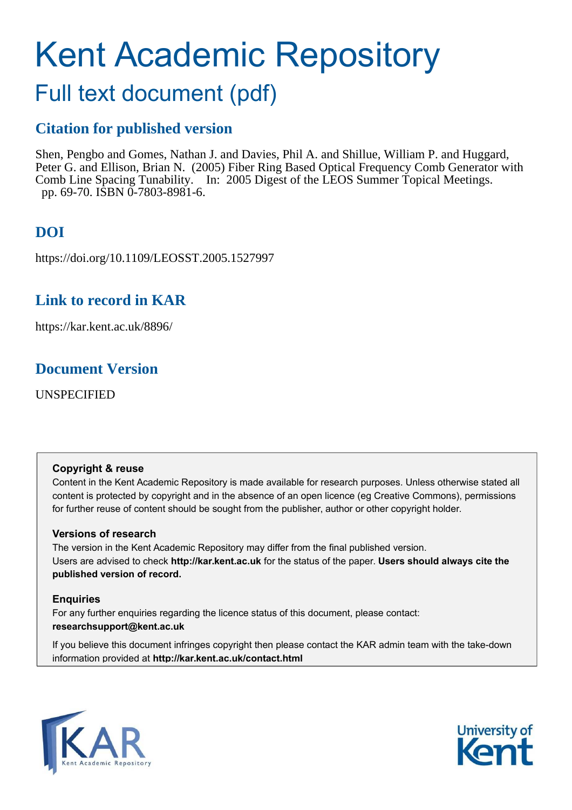# Kent Academic Repository

## Full text document (pdf)

### **Citation for published version**

Shen, Pengbo and Gomes, Nathan J. and Davies, Phil A. and Shillue, William P. and Huggard, Peter G. and Ellison, Brian N. (2005) Fiber Ring Based Optical Frequency Comb Generator with Comb Line Spacing Tunability. In: 2005 Digest of the LEOS Summer Topical Meetings. pp. 69-70. ISBN 0-7803-8981-6.

## **DOI**

https://doi.org/10.1109/LEOSST.2005.1527997

## **Link to record in KAR**

https://kar.kent.ac.uk/8896/

## **Document Version**

UNSPECIFIED

#### **Copyright & reuse**

Content in the Kent Academic Repository is made available for research purposes. Unless otherwise stated all content is protected by copyright and in the absence of an open licence (eg Creative Commons), permissions for further reuse of content should be sought from the publisher, author or other copyright holder.

#### **Versions of research**

The version in the Kent Academic Repository may differ from the final published version. Users are advised to check **http://kar.kent.ac.uk** for the status of the paper. **Users should always cite the published version of record.**

#### **Enquiries**

For any further enquiries regarding the licence status of this document, please contact: **researchsupport@kent.ac.uk**

If you believe this document infringes copyright then please contact the KAR admin team with the take-down information provided at **http://kar.kent.ac.uk/contact.html**



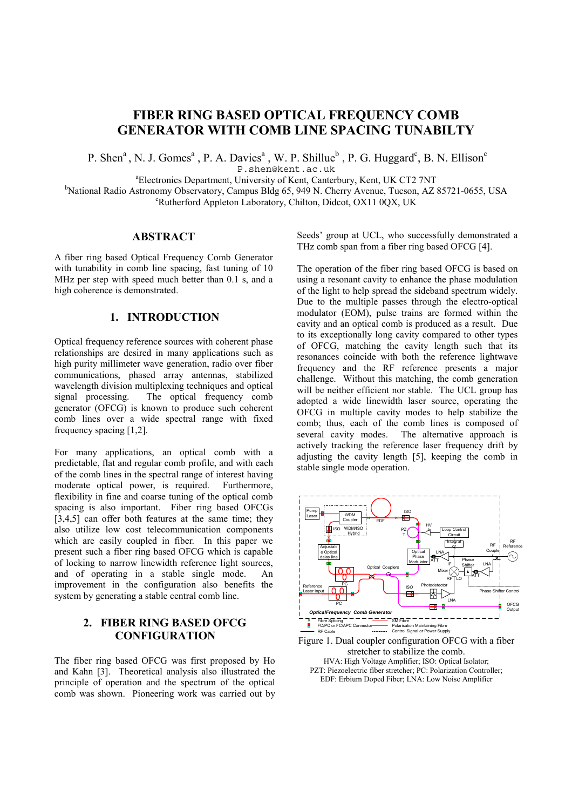#### **FIBER RING BASED OPTICAL FREQUENCY COMB GENERATOR WITH COMB LINE SPACING TUNABILTY**

P. Shen<sup>a</sup>, N. J. Gomes<sup>a</sup>, P. A. Davies<sup>a</sup>, W. P. Shillue<sup>b</sup>, P. G. Huggard<sup>c</sup>, B. N. Ellison<sup>c</sup>

P.shen@kent.ac.uk

<sup>a</sup>Electronics Department, University of Kent, Canterbury, Kent, UK CT2 7NT

<sup>b</sup>National Radio Astronomy Observatory, Campus Bldg 65, 949 N. Cherry Avenue, Tucson, AZ 85721-0655, USA <sup>c</sup>Rutherford Appleton Laboratory, Chilton, Didcot, OX11 0QX, UK

#### **ABSTRACT**

A fiber ring based Optical Frequency Comb Generator with tunability in comb line spacing, fast tuning of 10 MHz per step with speed much better than 0.1 s, and a high coherence is demonstrated.

#### **1. INTRODUCTION**

Optical frequency reference sources with coherent phase relationships are desired in many applications such as high purity millimeter wave generation, radio over fiber communications, phased array antennas, stabilized wavelength division multiplexing techniques and optical signal processing. The optical frequency comb generator (OFCG) is known to produce such coherent comb lines over a wide spectral range with fixed frequency spacing [1,2].

For many applications, an optical comb with a predictable, flat and regular comb profile, and with each of the comb lines in the spectral range of interest having moderate optical power, is required. Furthermore, flexibility in fine and coarse tuning of the optical comb spacing is also important. Fiber ring based OFCGs [3,4,5] can offer both features at the same time; they also utilize low cost telecommunication components which are easily coupled in fiber. In this paper we present such a fiber ring based OFCG which is capable of locking to narrow linewidth reference light sources, and of operating in a stable single mode. An improvement in the configuration also benefits the system by generating a stable central comb line.

#### **2. FIBER RING BASED OFCG CONFIGURATION**

The fiber ring based OFCG was first proposed by Ho and Kahn [3]. Theoretical analysis also illustrated the principle of operation and the spectrum of the optical comb was shown. Pioneering work was carried out by

Seeds' group at UCL, who successfully demonstrated a THz comb span from a fiber ring based OFCG [4].

The operation of the fiber ring based OFCG is based on using a resonant cavity to enhance the phase modulation of the light to help spread the sideband spectrum widely. Due to the multiple passes through the electro-optical modulator (EOM), pulse trains are formed within the cavity and an optical comb is produced as a result. Due to its exceptionally long cavity compared to other types of OFCG, matching the cavity length such that its resonances coincide with both the reference lightwave frequency and the RF reference presents a major challenge. Without this matching, the comb generation will be neither efficient nor stable. The UCL group has adopted a wide linewidth laser source, operating the OFCG in multiple cavity modes to help stabilize the comb; thus, each of the comb lines is composed of several cavity modes. The alternative approach is actively tracking the reference laser frequency drift by adjusting the cavity length [5], keeping the comb in stable single mode operation.



Figure 1. Dual coupler configuration OFCG with a fiber stretcher to stabilize the comb. HVA: High Voltage Amplifier; ISO: Optical Isolator; PZT: Piezoelectric fiber stretcher; PC: Polarization Controller; EDF: Erbium Doped Fiber; LNA: Low Noise Amplifier